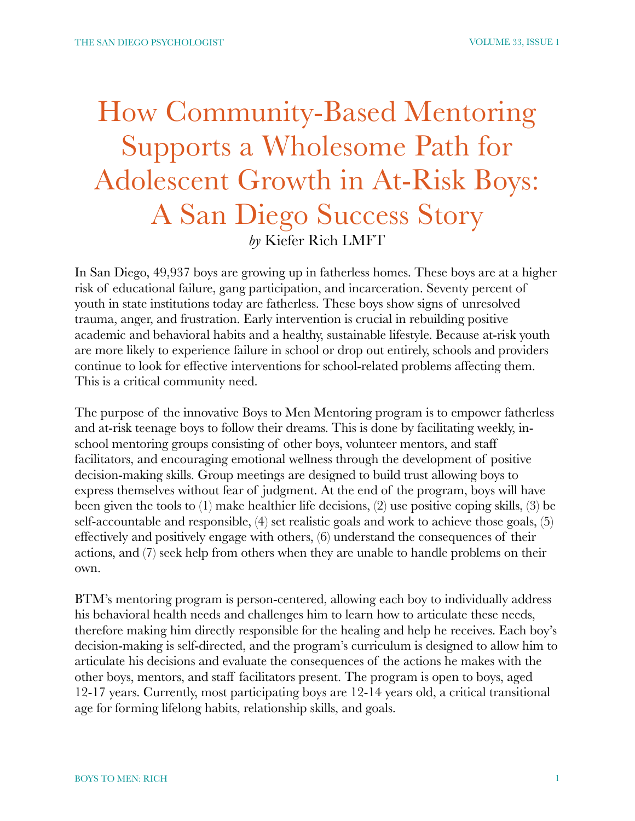## How Community-Based Mentoring Supports a Wholesome Path for Adolescent Growth in At-Risk Boys: A San Diego Success Story *by* Kiefer Rich LMFT

In San Diego, 49,937 boys are growing up in fatherless homes. These boys are at a higher risk of educational failure, gang participation, and incarceration. Seventy percent of youth in state institutions today are fatherless. These boys show signs of unresolved trauma, anger, and frustration. Early intervention is crucial in rebuilding positive academic and behavioral habits and a healthy, sustainable lifestyle. Because at-risk youth are more likely to experience failure in school or drop out entirely, schools and providers continue to look for effective interventions for school-related problems affecting them. This is a critical community need.

The purpose of the innovative Boys to Men Mentoring program is to empower fatherless and at-risk teenage boys to follow their dreams. This is done by facilitating weekly, inschool mentoring groups consisting of other boys, volunteer mentors, and staff facilitators, and encouraging emotional wellness through the development of positive decision-making skills. Group meetings are designed to build trust allowing boys to express themselves without fear of judgment. At the end of the program, boys will have been given the tools to (1) make healthier life decisions, (2) use positive coping skills, (3) be self-accountable and responsible, (4) set realistic goals and work to achieve those goals, (5) effectively and positively engage with others, (6) understand the consequences of their actions, and (7) seek help from others when they are unable to handle problems on their own.

BTM's mentoring program is person-centered, allowing each boy to individually address his behavioral health needs and challenges him to learn how to articulate these needs, therefore making him directly responsible for the healing and help he receives. Each boy's decision-making is self-directed, and the program's curriculum is designed to allow him to articulate his decisions and evaluate the consequences of the actions he makes with the other boys, mentors, and staff facilitators present. The program is open to boys, aged 12-17 years. Currently, most participating boys are 12-14 years old, a critical transitional age for forming lifelong habits, relationship skills, and goals.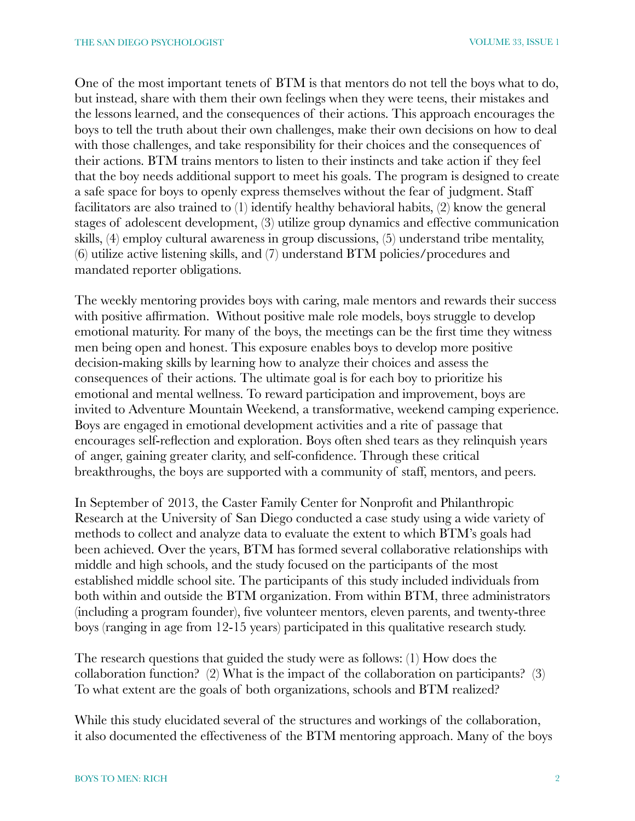One of the most important tenets of BTM is that mentors do not tell the boys what to do, but instead, share with them their own feelings when they were teens, their mistakes and the lessons learned, and the consequences of their actions. This approach encourages the boys to tell the truth about their own challenges, make their own decisions on how to deal with those challenges, and take responsibility for their choices and the consequences of their actions. BTM trains mentors to listen to their instincts and take action if they feel that the boy needs additional support to meet his goals. The program is designed to create a safe space for boys to openly express themselves without the fear of judgment. Staff facilitators are also trained to (1) identify healthy behavioral habits, (2) know the general stages of adolescent development, (3) utilize group dynamics and effective communication skills, (4) employ cultural awareness in group discussions, (5) understand tribe mentality, (6) utilize active listening skills, and (7) understand BTM policies/procedures and mandated reporter obligations.

The weekly mentoring provides boys with caring, male mentors and rewards their success with positive affirmation. Without positive male role models, boys struggle to develop emotional maturity. For many of the boys, the meetings can be the first time they witness men being open and honest. This exposure enables boys to develop more positive decision-making skills by learning how to analyze their choices and assess the consequences of their actions. The ultimate goal is for each boy to prioritize his emotional and mental wellness. To reward participation and improvement, boys are invited to Adventure Mountain Weekend, a transformative, weekend camping experience. Boys are engaged in emotional development activities and a rite of passage that encourages self-reflection and exploration. Boys often shed tears as they relinquish years of anger, gaining greater clarity, and self-confidence. Through these critical breakthroughs, the boys are supported with a community of staff, mentors, and peers.

In September of 2013, the Caster Family Center for Nonprofit and Philanthropic Research at the University of San Diego conducted a case study using a wide variety of methods to collect and analyze data to evaluate the extent to which BTM's goals had been achieved. Over the years, BTM has formed several collaborative relationships with middle and high schools, and the study focused on the participants of the most established middle school site. The participants of this study included individuals from both within and outside the BTM organization. From within BTM, three administrators (including a program founder), five volunteer mentors, eleven parents, and twenty-three boys (ranging in age from 12-15 years) participated in this qualitative research study.

The research questions that guided the study were as follows: (1) How does the collaboration function? (2) What is the impact of the collaboration on participants? (3) To what extent are the goals of both organizations, schools and BTM realized?

While this study elucidated several of the structures and workings of the collaboration, it also documented the effectiveness of the BTM mentoring approach. Many of the boys